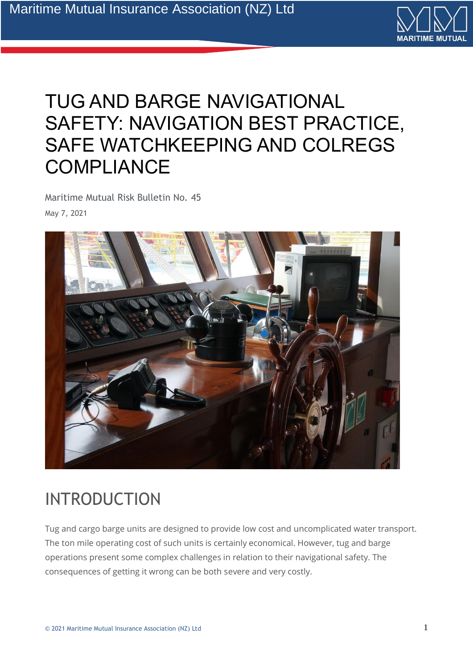

# TUG AND BARGE NAVIGATIONAL SAFETY: NAVIGATION BEST PRACTICE, SAFE WATCHKEEPING AND COLREGS **COMPLIANCE**

Maritime Mutual Risk Bulletin No. 45 May 7, 2021



## INTRODUCTION

Tug and cargo barge units are designed to provide low cost and uncomplicated water transport. The ton mile operating cost of such units is certainly economical. However, tug and barge operations present some complex challenges in relation to their navigational safety. The consequences of getting it wrong can be both severe and very costly.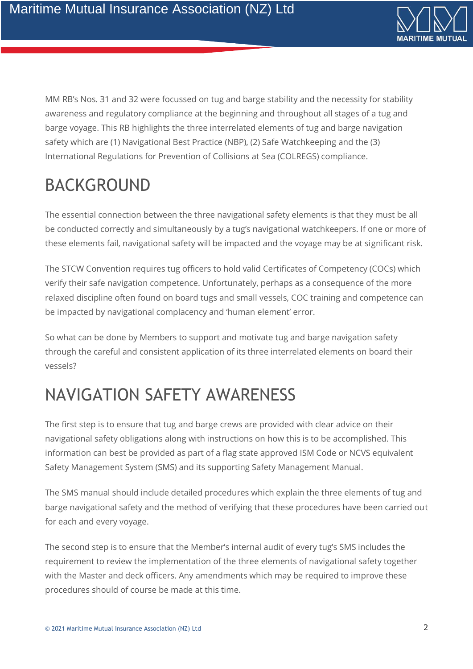

MM RB's Nos. 31 and 32 were focussed on tug and barge stability and the necessity for stability awareness and regulatory compliance at the beginning and throughout all stages of a tug and barge voyage. This RB highlights the three interrelated elements of tug and barge navigation safety which are (1) Navigational Best Practice (NBP), (2) Safe Watchkeeping and the (3) International Regulations for Prevention of Collisions at Sea (COLREGS) compliance.

# BACKGROUND

The essential connection between the three navigational safety elements is that they must be all be conducted correctly and simultaneously by a tug's navigational watchkeepers. If one or more of these elements fail, navigational safety will be impacted and the voyage may be at significant risk.

The STCW Convention requires tug officers to hold valid Certificates of Competency (COCs) which verify their safe navigation competence. Unfortunately, perhaps as a consequence of the more relaxed discipline often found on board tugs and small vessels, COC training and competence can be impacted by navigational complacency and 'human element' error.

So what can be done by Members to support and motivate tug and barge navigation safety through the careful and consistent application of its three interrelated elements on board their vessels?

## NAVIGATION SAFETY AWARENESS

The first step is to ensure that tug and barge crews are provided with clear advice on their navigational safety obligations along with instructions on how this is to be accomplished. This information can best be provided as part of a flag state approved ISM Code or NCVS equivalent Safety Management System (SMS) and its supporting Safety Management Manual.

The SMS manual should include detailed procedures which explain the three elements of tug and barge navigational safety and the method of verifying that these procedures have been carried out for each and every voyage.

The second step is to ensure that the Member's internal audit of every tug's SMS includes the requirement to review the implementation of the three elements of navigational safety together with the Master and deck officers. Any amendments which may be required to improve these procedures should of course be made at this time.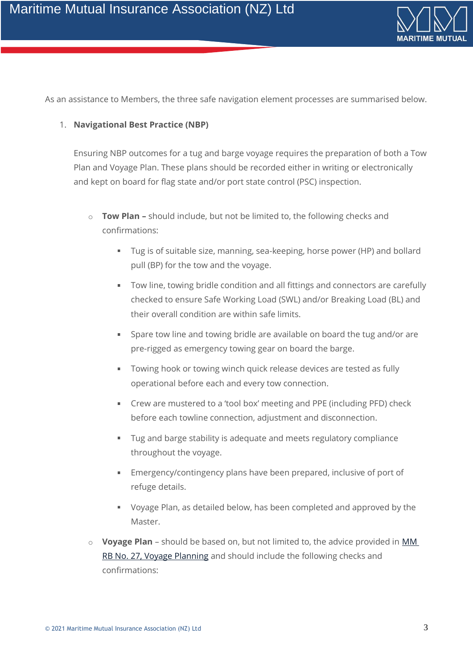

As an assistance to Members, the three safe navigation element processes are summarised below.

#### 1. **Navigational Best Practice (NBP)**

Ensuring NBP outcomes for a tug and barge voyage requires the preparation of both a Tow Plan and Voyage Plan. These plans should be recorded either in writing or electronically and kept on board for flag state and/or port state control (PSC) inspection.

- o **Tow Plan –** should include, but not be limited to, the following checks and confirmations:
	- $\mathbf{r}$  . Tug is of suitable size, manning, sea-keeping, horse power (HP) and bollard pull (BP) for the tow and the voyage.
	- Tow line, towing bridle condition and all fittings and connectors are carefully checked to ensure Safe Working Load (SWL) and/or Breaking Load (BL) and their overall condition are within safe limits.
	- Spare tow line and towing bridle are available on board the tug and/or are pre-rigged as emergency towing gear on board the barge.
	- **Towing hook or towing winch quick release devices are tested as fully** operational before each and every tow connection.
	- Crew are mustered to a 'tool box' meeting and PPE (including PFD) check before each towline connection, adjustment and disconnection.
	- Tug and barge stability is adequate and meets regulatory compliance  $\mathbf{u}$  . throughout the voyage.
	- Emergency/contingency plans have been prepared, inclusive of port of refuge details.
	- Voyage Plan, as detailed below, has been completed and approved by the Master.
- o **Voyage Plan** should be based on, but not limited to, the advice provided in [MM](https://maritime-mutual.com/blog/2020/04/21/voyage-planning-best-practice-much-more-than-just-a-waypoint-list/)  [RB No. 27, Voyage Planning](https://maritime-mutual.com/blog/2020/04/21/voyage-planning-best-practice-much-more-than-just-a-waypoint-list/) and should include the following checks and confirmations: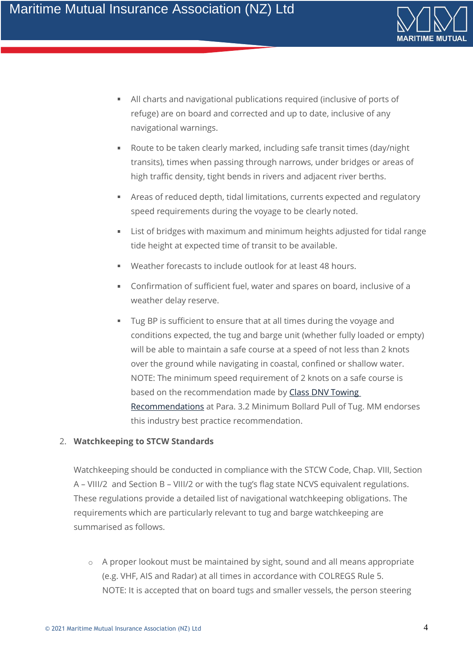

- All charts and navigational publications required (inclusive of ports of  $\mathbf{u}$  . refuge) are on board and corrected and up to date, inclusive of any navigational warnings.
- Route to be taken clearly marked, including safe transit times (day/night  $\blacksquare$ transits), times when passing through narrows, under bridges or areas of high traffic density, tight bends in rivers and adjacent river berths.
- Areas of reduced depth, tidal limitations, currents expected and regulatory speed requirements during the voyage to be clearly noted.
- List of bridges with maximum and minimum heights adjusted for tidal range tide height at expected time of transit to be available.
- Weather forecasts to include outlook for at least 48 hours.
- Confirmation of sufficient fuel, water and spares on board, inclusive of a weather delay reserve.
- Tug BP is sufficient to ensure that at all times during the voyage and conditions expected, the tug and barge unit (whether fully loaded or empty) will be able to maintain a safe course at a speed of not less than 2 knots over the ground while navigating in coastal, confined or shallow water. NOTE: The minimum speed requirement of 2 knots on a safe course is based on the recommendation made by Class DNV Towing [Recommendations](http://www.tugmasters.org/wp-content/uploads/2014/07/Towingrecomends.pdf) at Para. 3.2 Minimum Bollard Pull of Tug. MM endorses this industry best practice recommendation.

### 2. **Watchkeeping to STCW Standards**

Watchkeeping should be conducted in compliance with the STCW Code, Chap. VIII, Section A – VIII/2 and Section B – VIII/2 or with the tug's flag state NCVS equivalent regulations. These regulations provide a detailed list of navigational watchkeeping obligations. The requirements which are particularly relevant to tug and barge watchkeeping are summarised as follows.

 $\circ$  A proper lookout must be maintained by sight, sound and all means appropriate (e.g. VHF, AIS and Radar) at all times in accordance with COLREGS Rule 5. NOTE: It is accepted that on board tugs and smaller vessels, the person steering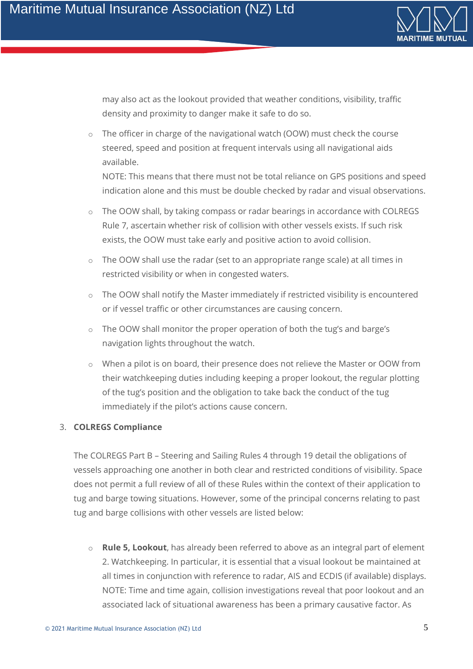

may also act as the lookout provided that weather conditions, visibility, traffic density and proximity to danger make it safe to do so.

 $\circ$  The officer in charge of the navigational watch (OOW) must check the course steered, speed and position at frequent intervals using all navigational aids available.

NOTE: This means that there must not be total reliance on GPS positions and speed indication alone and this must be double checked by radar and visual observations.

- o The OOW shall, by taking compass or radar bearings in accordance with COLREGS Rule 7, ascertain whether risk of collision with other vessels exists. If such risk exists, the OOW must take early and positive action to avoid collision.
- o The OOW shall use the radar (set to an appropriate range scale) at all times in restricted visibility or when in congested waters.
- o The OOW shall notify the Master immediately if restricted visibility is encountered or if vessel traffic or other circumstances are causing concern.
- The OOW shall monitor the proper operation of both the tug's and barge's navigation lights throughout the watch.
- o When a pilot is on board, their presence does not relieve the Master or OOW from their watchkeeping duties including keeping a proper lookout, the regular plotting of the tug's position and the obligation to take back the conduct of the tug immediately if the pilot's actions cause concern.

### 3. **COLREGS Compliance**

The COLREGS Part B – Steering and Sailing Rules 4 through 19 detail the obligations of vessels approaching one another in both clear and restricted conditions of visibility. Space does not permit a full review of all of these Rules within the context of their application to tug and barge towing situations. However, some of the principal concerns relating to past tug and barge collisions with other vessels are listed below:

o **Rule 5, Lookout**, has already been referred to above as an integral part of element 2. Watchkeeping. In particular, it is essential that a visual lookout be maintained at all times in conjunction with reference to radar, AIS and ECDIS (if available) displays. NOTE: Time and time again, collision investigations reveal that poor lookout and an associated lack of situational awareness has been a primary causative factor. As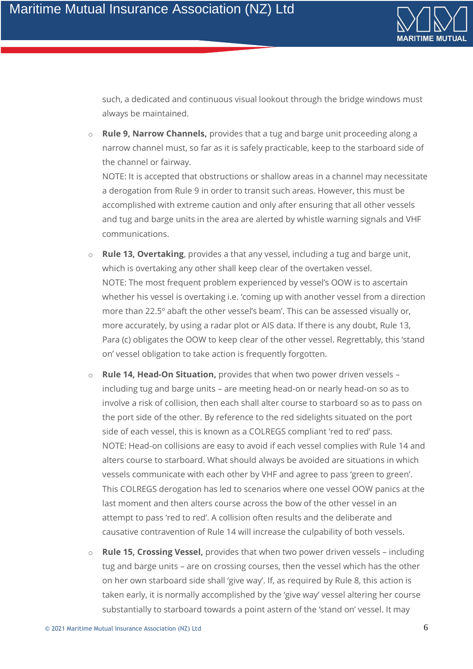

such, a dedicated and continuous visual lookout through the bridge windows must always be maintained.

o **Rule 9, Narrow Channels,** provides that a tug and barge unit proceeding along a narrow channel must, so far as it is safely practicable, keep to the starboard side of the channel or fairway.

NOTE: It is accepted that obstructions or shallow areas in a channel may necessitate a derogation from Rule 9 in order to transit such areas. However, this must be accomplished with extreme caution and only after ensuring that all other vessels and tug and barge units in the area are alerted by whistle warning signals and VHF communications.

- o **Rule 13, Overtaking**, provides a that any vessel, including a tug and barge unit, which is overtaking any other shall keep clear of the overtaken vessel. NOTE: The most frequent problem experienced by vessel's OOW is to ascertain whether his vessel is overtaking i.e. 'coming up with another vessel from a direction more than 22.5º abaft the other vessel's beam'. This can be assessed visually or, more accurately, by using a radar plot or AIS data. If there is any doubt, Rule 13, Para (c) obligates the OOW to keep clear of the other vessel. Regrettably, this 'stand on' vessel obligation to take action is frequently forgotten.
- o **Rule 14, Head-On Situation,** provides that when two power driven vessels including tug and barge units – are meeting head-on or nearly head-on so as to involve a risk of collision, then each shall alter course to starboard so as to pass on the port side of the other. By reference to the red sidelights situated on the port side of each vessel, this is known as a COLREGS compliant 'red to red' pass. NOTE: Head-on collisions are easy to avoid if each vessel complies with Rule 14 and alters course to starboard. What should always be avoided are situations in which vessels communicate with each other by VHF and agree to pass 'green to green'. This COLREGS derogation has led to scenarios where one vessel OOW panics at the last moment and then alters course across the bow of the other vessel in an attempt to pass 'red to red'. A collision often results and the deliberate and causative contravention of Rule 14 will increase the culpability of both vessels.
- o **Rule 15, Crossing Vessel,** provides that when two power driven vessels including tug and barge units – are on crossing courses, then the vessel which has the other on her own starboard side shall 'give way'. If, as required by Rule 8, this action is taken early, it is normally accomplished by the 'give way' vessel altering her course substantially to starboard towards a point astern of the 'stand on' vessel. It may